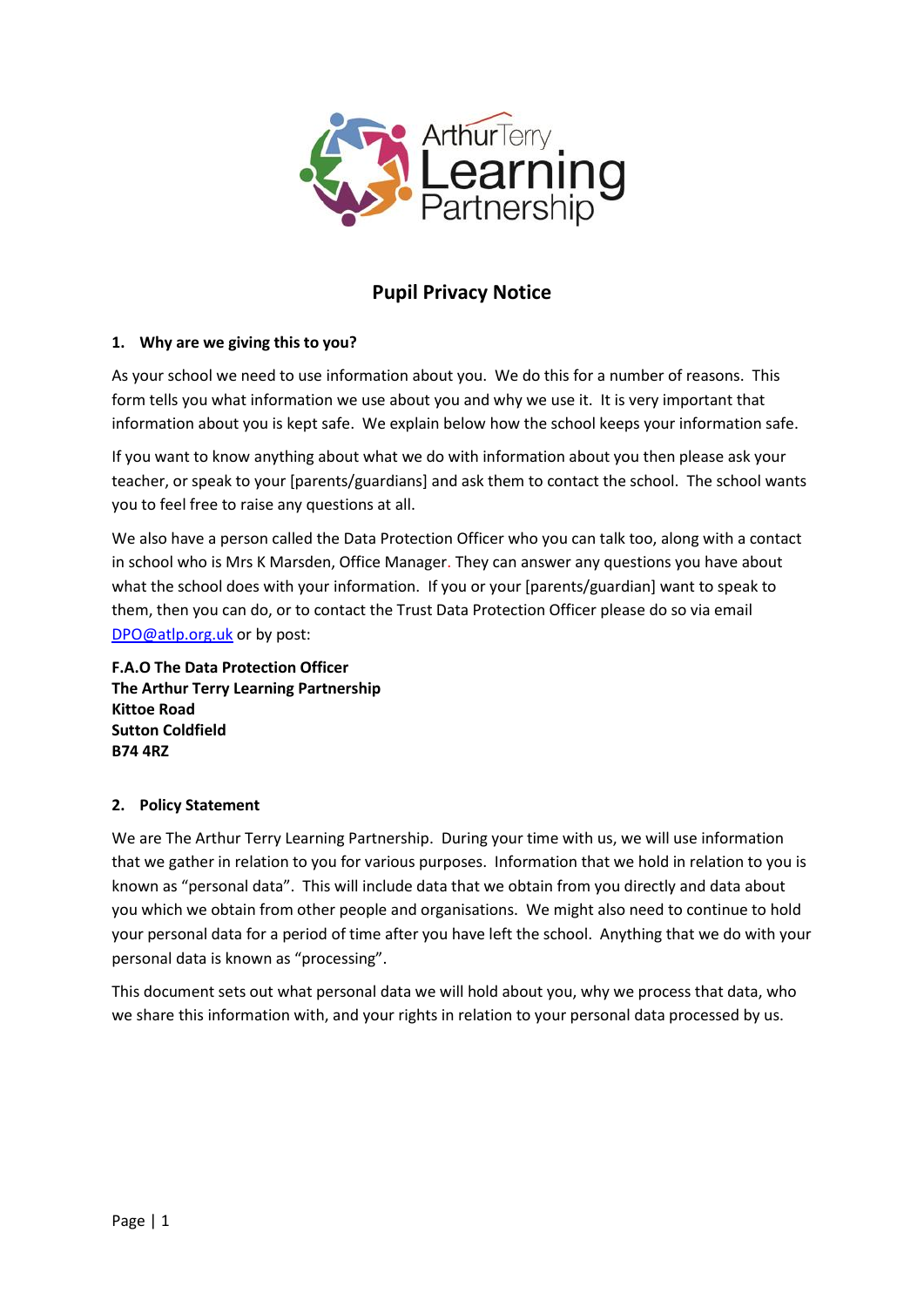

# **Pupil Privacy Notice**

# **1. Why are we giving this to you?**

As your school we need to use information about you. We do this for a number of reasons. This form tells you what information we use about you and why we use it. It is very important that information about you is kept safe. We explain below how the school keeps your information safe.

If you want to know anything about what we do with information about you then please ask your teacher, or speak to your [parents/guardians] and ask them to contact the school. The school wants you to feel free to raise any questions at all.

We also have a person called the Data Protection Officer who you can talk too, along with a contact in school who is Mrs K Marsden, Office Manager. They can answer any questions you have about what the school does with your information. If you or your [parents/guardian] want to speak to them, then you can do, or to contact the Trust Data Protection Officer please do so via email [DPO@atlp.org.uk](mailto:DPO@atlp.org.uk) or by post:

**F.A.O The Data Protection Officer The Arthur Terry Learning Partnership Kittoe Road Sutton Coldfield B74 4RZ**

## **2. Policy Statement**

We are The Arthur Terry Learning Partnership. During your time with us, we will use information that we gather in relation to you for various purposes. Information that we hold in relation to you is known as "personal data". This will include data that we obtain from you directly and data about you which we obtain from other people and organisations. We might also need to continue to hold your personal data for a period of time after you have left the school. Anything that we do with your personal data is known as "processing".

This document sets out what personal data we will hold about you, why we process that data, who we share this information with, and your rights in relation to your personal data processed by us.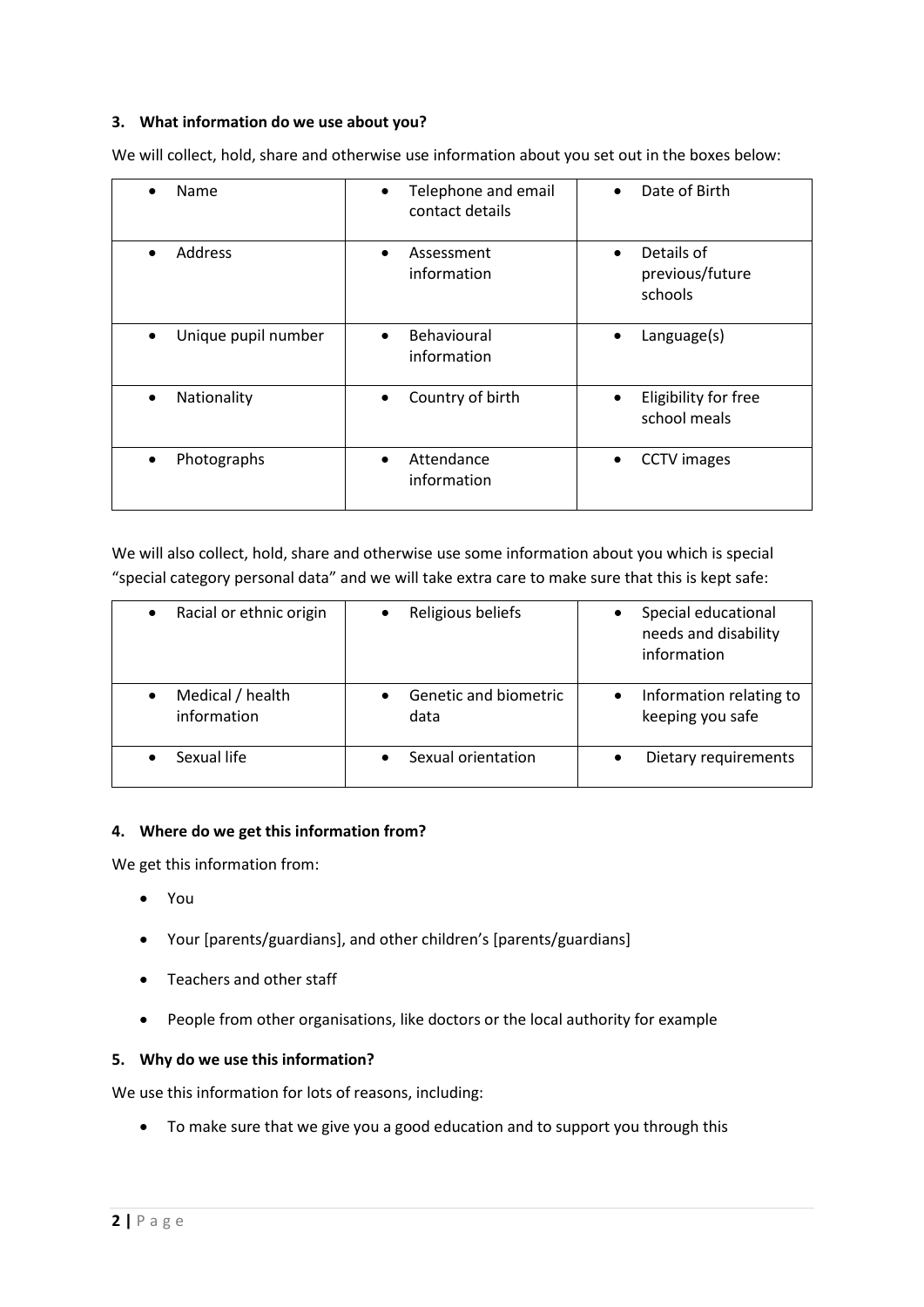# **3. What information do we use about you?**

We will collect, hold, share and otherwise use information about you set out in the boxes below:

| Name                     | Telephone and email<br>contact details  | Date of Birth                                     |
|--------------------------|-----------------------------------------|---------------------------------------------------|
| <b>Address</b>           | Assessment<br>information               | Details of<br>previous/future<br>schools          |
| Unique pupil number      | Behavioural<br>$\bullet$<br>information | Language(s)                                       |
| Nationality<br>$\bullet$ | Country of birth<br>$\bullet$           | Eligibility for free<br>$\bullet$<br>school meals |
| Photographs              | Attendance<br>information               | <b>CCTV</b> images<br>٠                           |

We will also collect, hold, share and otherwise use some information about you which is special "special category personal data" and we will take extra care to make sure that this is kept safe:

| Racial or ethnic origin         | Religious beliefs             | Special educational<br>needs and disability<br>information |
|---------------------------------|-------------------------------|------------------------------------------------------------|
| Medical / health<br>information | Genetic and biometric<br>data | Information relating to<br>keeping you safe                |
| Sexual life                     | Sexual orientation            | Dietary requirements                                       |

## **4. Where do we get this information from?**

We get this information from:

- You
- Your [parents/guardians], and other children's [parents/guardians]
- Teachers and other staff
- People from other organisations, like doctors or the local authority for example

## **5. Why do we use this information?**

We use this information for lots of reasons, including:

To make sure that we give you a good education and to support you through this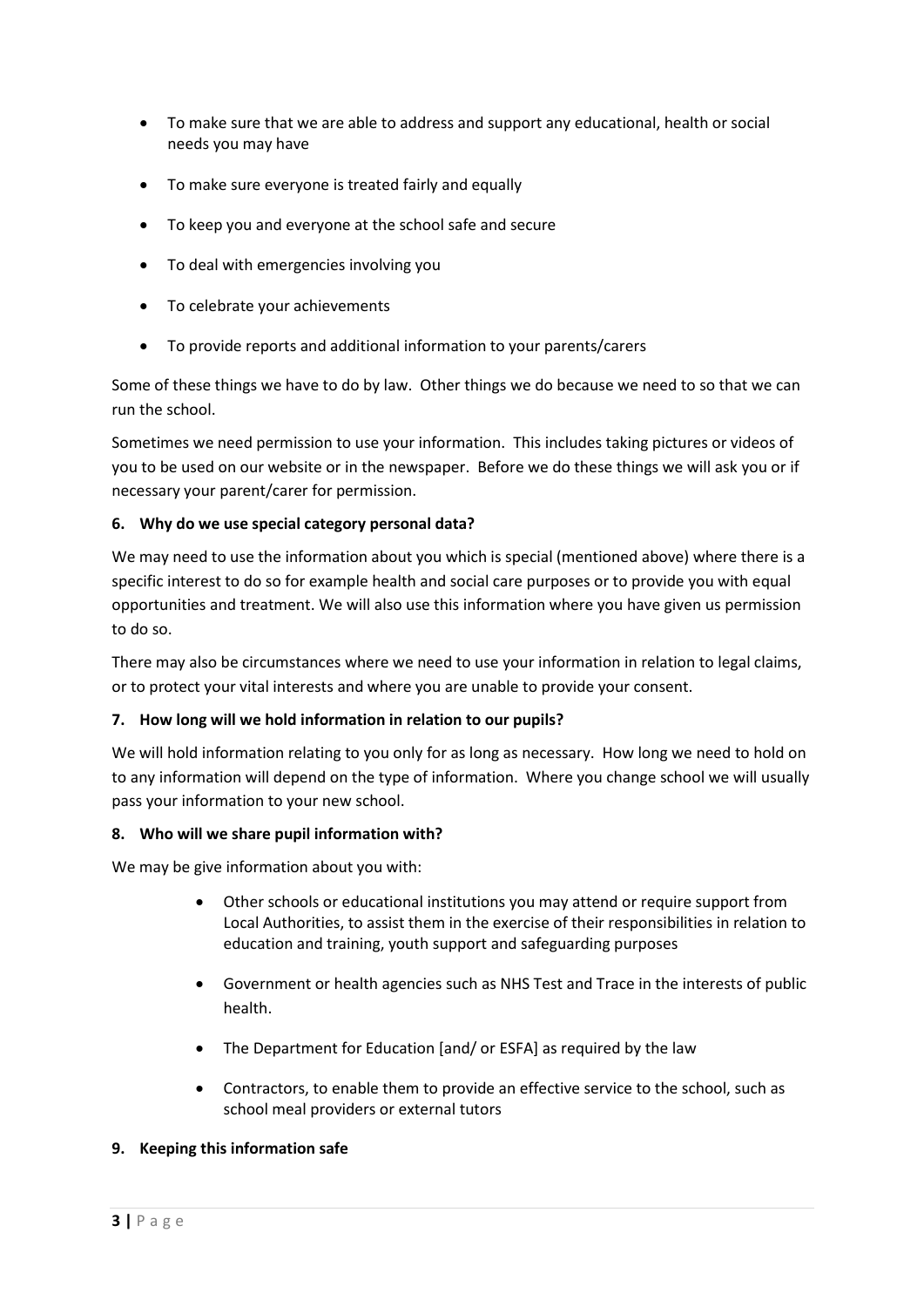- To make sure that we are able to address and support any educational, health or social needs you may have
- To make sure everyone is treated fairly and equally
- To keep you and everyone at the school safe and secure
- To deal with emergencies involving you
- To celebrate your achievements
- To provide reports and additional information to your parents/carers

Some of these things we have to do by law. Other things we do because we need to so that we can run the school.

Sometimes we need permission to use your information. This includes taking pictures or videos of you to be used on our website or in the newspaper. Before we do these things we will ask you or if necessary your parent/carer for permission.

## **6. Why do we use special category personal data?**

We may need to use the information about you which is special (mentioned above) where there is a specific interest to do so for example health and social care purposes or to provide you with equal opportunities and treatment. We will also use this information where you have given us permission to do so.

There may also be circumstances where we need to use your information in relation to legal claims, or to protect your vital interests and where you are unable to provide your consent.

# **7. How long will we hold information in relation to our pupils?**

We will hold information relating to you only for as long as necessary. How long we need to hold on to any information will depend on the type of information. Where you change school we will usually pass your information to your new school.

## **8. Who will we share pupil information with?**

We may be give information about you with:

- Other schools or educational institutions you may attend or require support from Local Authorities, to assist them in the exercise of their responsibilities in relation to education and training, youth support and safeguarding purposes
- Government or health agencies such as NHS Test and Trace in the interests of public health.
- The Department for Education [and/ or ESFA] as required by the law
- Contractors, to enable them to provide an effective service to the school, such as school meal providers or external tutors

# **9. Keeping this information safe**